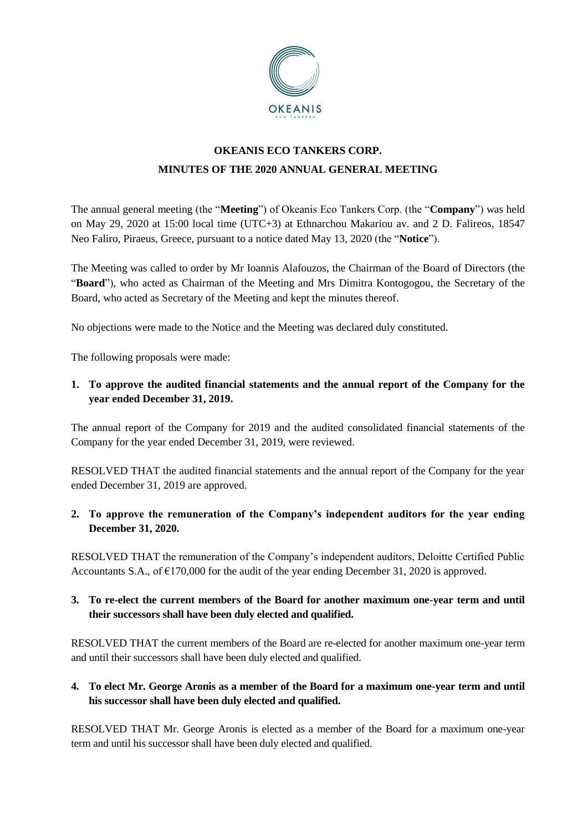

# **OKEANIS ECO TANKERS CORP. MINUTES OF THE 2020 ANNUAL GENERAL MEETING**

The annual general meeting (the "**Meeting**") of Okeanis Eco Tankers Corp. (the "**Company**") was held on May 29, 2020 at 15:00 local time (UTC+3) at Ethnarchou Makariou av. and 2 D. Falireos, 18547 Neo Faliro, Piraeus, Greece, pursuant to a notice dated May 13, 2020 (the "**Notice**").

The Meeting was called to order by Mr Ioannis Alafouzos, the Chairman of the Board of Directors (the "**Board**"), who acted as Chairman of the Meeting and Mrs Dimitra Kontogogou, the Secretary of the Board, who acted as Secretary of the Meeting and kept the minutes thereof.

No objections were made to the Notice and the Meeting was declared duly constituted.

The following proposals were made:

## **1. To approve the audited financial statements and the annual report of the Company for the year ended December 31, 2019.**

The annual report of the Company for 2019 and the audited consolidated financial statements of the Company for the year ended December 31, 2019, were reviewed.

RESOLVED THAT the audited financial statements and the annual report of the Company for the year ended December 31, 2019 are approved.

# **2. To approve the remuneration of the Company's independent auditors for the year ending December 31, 2020.**

RESOLVED THAT the remuneration of the Company's independent auditors, Deloitte Certified Public Accountants S.A., of  $\epsilon$ 170,000 for the audit of the year ending December 31, 2020 is approved.

## **3. To re-elect the current members of the Board for another maximum one-year term and until their successors shall have been duly elected and qualified.**

RESOLVED THAT the current members of the Board are re-elected for another maximum one-year term and until their successors shall have been duly elected and qualified.

## **4. To elect Mr. George Aronis as a member of the Board for a maximum one-year term and until his successor shall have been duly elected and qualified.**

RESOLVED THAT Mr. George Aronis is elected as a member of the Board for a maximum one-year term and until his successor shall have been duly elected and qualified.